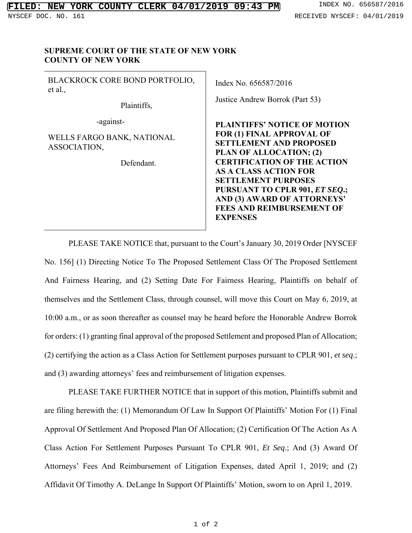## **SUPREME COURT OF THE STATE OF NEW YORK COUNTY OF NEW YORK**

BLACKROCK CORE BOND PORTFOLIO, et al*.*,

Plaintiffs,

-against-

WELLS FARGO BANK, NATIONAL ASSOCIATION,

Defendant.

Index No. 656587/2016

Justice Andrew Borrok (Part 53)

**PLAINTIFFS' NOTICE OF MOTION FOR (1) FINAL APPROVAL OF SETTLEMENT AND PROPOSED PLAN OF ALLOCATION; (2) CERTIFICATION OF THE ACTION AS A CLASS ACTION FOR SETTLEMENT PURPOSES PURSUANT TO CPLR 901,** *ET SEQ***.; AND (3) AWARD OF ATTORNEYS' FEES AND REIMBURSEMENT OF EXPENSES** 

PLEASE TAKE NOTICE that, pursuant to the Court's January 30, 2019 Order [NYSCEF No. 156] (1) Directing Notice To The Proposed Settlement Class Of The Proposed Settlement And Fairness Hearing, and (2) Setting Date For Fairness Hearing, Plaintiffs on behalf of themselves and the Settlement Class, through counsel, will move this Court on May 6, 2019, at 10:00 a.m., or as soon thereafter as counsel may be heard before the Honorable Andrew Borrok for orders: (1) granting final approval of the proposed Settlement and proposed Plan of Allocation; (2) certifying the action as a Class Action for Settlement purposes pursuant to CPLR 901, *et seq*.; and (3) awarding attorneys' fees and reimbursement of litigation expenses.

PLEASE TAKE FURTHER NOTICE that in support of this motion, Plaintiffs submit and are filing herewith the: (1) Memorandum Of Law In Support Of Plaintiffs' Motion For (1) Final Approval Of Settlement And Proposed Plan Of Allocation; (2) Certification Of The Action As A Class Action For Settlement Purposes Pursuant To CPLR 901, *Et Seq*.; And (3) Award Of Attorneys' Fees And Reimbursement of Litigation Expenses, dated April 1, 2019; and (2) Affidavit Of Timothy A. DeLange In Support Of Plaintiffs' Motion, sworn to on April 1, 2019.